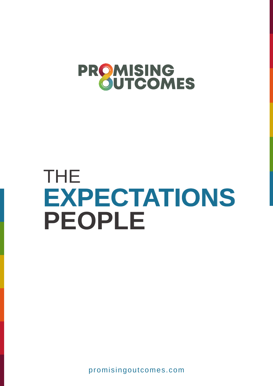

# THE **EXPECTATIONS PEOPLE**

promisingoutcomes.com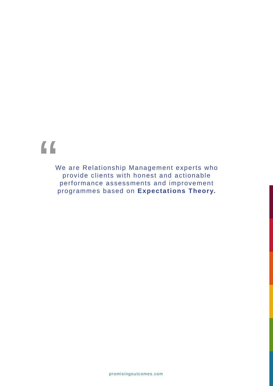# "

We are Relationship Management experts who provide clients with honest and actionable performance assessments and improvement programmes based on **Expectations Theory.**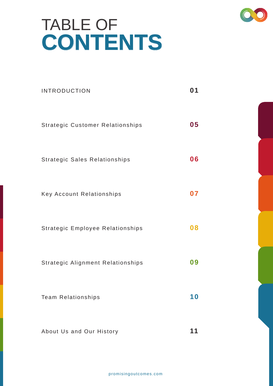# TABLE OF **CONTENTS**

| <b>INTRODUCTION</b>               | 01        |
|-----------------------------------|-----------|
| Strategic Customer Relationships  | 05        |
| Strategic Sales Relationships     | 06        |
| Key Account Relationships         | 07        |
| Strategic Employee Relationships  | 08        |
| Strategic Alignment Relationships | 09        |
| <b>Team Relationships</b>         | <b>10</b> |
| About Us and Our History          | 11        |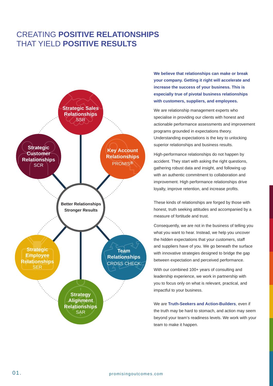### CREATING **POSITIVE RELATIONSHIPS**  THAT YIELD **POSITIVE RESULTS**



**We believe that relationships can make or break your company. Getting it right will accelerate and increase the success of your business. This is especially true of pivotal business relationships with customers, suppliers, and employees.**

We are relationship management experts who specialise in providing our clients with honest and actionable performance assessments and improvement programs grounded in expectations theory. Understanding expectations is the key to unlocking superior relationships and business results.

High-performance relationships do not happen by accident. They start with asking the right questions, gathering robust data and insight, and following up with an authentic commitment to collaboration and improvement. High performance relationships drive loyalty, improve retention, and increase profits.

These kinds of relationships are forged by those with honest, truth seeking attitudes and accompanied by a measure of fortitude and trust.

Consequently, we are not in the business of telling you what you want to hear. Instead, we help you uncover the hidden expectations that your customers, staff and suppliers have of you. We go beneath the surface with innovative strategies designed to bridge the gap between expectation and perceived performance.

With our combined 100+ years of consulting and leadership experience, we work in partnership with you to focus only on what is relevant, practical, and impactful to your business.

We are **Truth-Seekers and Action-Builders**, even if the truth may be hard to stomach, and action may seem beyond your team's readiness levels. We work with your team to make it happen.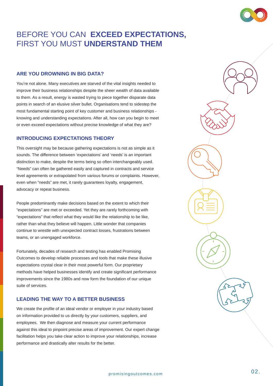### BEFORE YOU CAN **EXCEED EXPECTATIONS,** FIRST YOU MUST **UNDERSTAND THEM**

#### **ARE YOU DROWNING IN BIG DATA?**

You're not alone. Many executives are starved of the vital insights needed to improve their business relationships despite the sheer wealth of data available to them. As a result, energy is wasted trying to piece together disparate data points in search of an elusive silver bullet. Organisations tend to sidestep the most fundamental starting point of key customer and business relationships knowing and understanding expectations. After all, how can you begin to meet or even exceed expectations without precise knowledge of what they are?

#### **INTRODUCING EXPECTATIONS THEORY**

This oversight may be because gathering expectations is not as simple as it sounds. The difference between 'expectations' and 'needs' is an important distinction to make, despite the terms being so often interchangeably used. "Needs" can often be gathered easily and captured in contracts and service level agreements or extrapolated from various forums or complaints. However, even when "needs" are met, it rarely guarantees loyalty, engagement, advocacy or repeat business.

People predominantly make decisions based on the extent to which their "expectations" are met or exceeded. Yet they are rarely forthcoming with "expectations" that reflect what they would like the relationship to be like, rather than what they believe will happen. Little wonder that companies continue to wrestle with unexpected contract losses, frustrations between teams, or an unengaged workforce.

Fortunately, decades of research and testing has enabled Promising Outcomes to develop reliable processes and tools that make these illusive expectations crystal clear in their most powerful form. Our proprietary methods have helped businesses identify and create significant performance improvements since the 1980s and now form the foundation of our unique suite of services.

#### **LEADING THE WAY TO A BETTER BUSINESS**

We create the profile of an ideal vendor or employer in your industry based on information provided to us directly by your customers, suppliers, and employees. We then diagnose and measure your current performance against this ideal to pinpoint precise areas of improvement. Our expert change facilitation helps you take clear action to improve your relationships, increase performance and drastically alter results for the better.

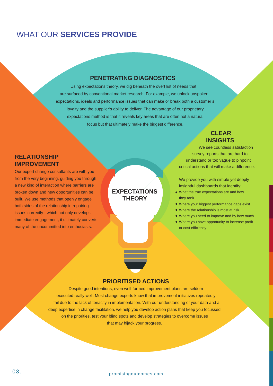### WHAT OUR **SERVICES PROVIDE**

### **PENETRATING DIAGNOSTICS**

Using expectations theory, we dig beneath the overt list of needs that are surfaced by conventional market research. For example, we unlock unspoken expectations, ideals and performance issues that can make or break both a customer's loyalty and the supplier's ability to deliver. The advantage of our proprietary expectations method is that it reveals key areas that are often not a natural focus but that ultimately make the biggest difference.

> **EXPECTATIONS THEORY**

### **CLEAR INSIGHTS**

We see countless satisfaction survey reports that are hard to understand or too vague to pinpoint critical actions that will make a difference.

We provide you with simple yet deeply insightful dashboards that identify:

- What the true expectations are and how they rank
- Where your biggest performance gaps exist
- Where the relationship is most at risk
- Where you need to improve and by how much
- Where you have opportunity to increase profit or cost efficiency

### **PRIORITISED ACTIONS**

Despite good intentions, even well-formed improvement plans are seldom executed really well. Most change experts know that improvement initiatives repeatedly fail due to the lack of tenacity in implementation. With our understanding of your data and a deep expertise in change facilitation, we help you develop action plans that keep you focussed on the priorities, test your blind spots and develop strategies to overcome issues that may hijack your progress.

promisingoutcomes.com promisingoutcomes.com 03.

**RELATIONSHIP IMPROVEMENT**

Our expert change consultants are with you from the very beginning, guiding you through a new kind of interaction where barriers are broken down and new opportunities can be built. We use methods that openly engage both sides of the relationship in repairing issues correctly - which not only develops immediate engagement, it ultimately converts many of the uncommitted into enthusiasts.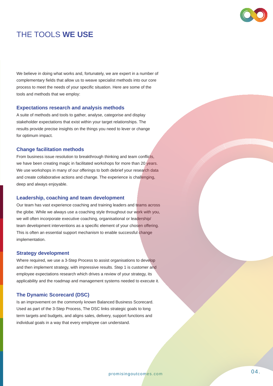

### THE TOOLS **WE USE**

We believe in doing what works and, fortunately, we are expert in a number of complementary fields that allow us to weave specialist methods into our core process to meet the needs of your specific situation. Here are some of the tools and methods that we employ:

#### **Expectations research and analysis methods**

A suite of methods and tools to gather, analyse, categorise and display stakeholder expectations that exist within your target relationships. The results provide precise insights on the things you need to lever or change for optimum impact.

#### **Change facilitation methods**

From business issue resolution to breakthrough thinking and team conflicts, we have been creating magic in facilitated workshops for more than 20 years. We use workshops in many of our offerings to both debrief your research data and create collaborative actions and change. The experience is challenging, deep and always enjoyable.

#### **Leadership, coaching and team development**

Our team has vast experience coaching and training leaders and teams across the globe. While we always use a coaching style throughout our work with you, we will often incorporate executive coaching, organisational or leadership/ team development interventions as a specific element of your chosen offering. This is often an essential support mechanism to enable successful change implementation.

#### **Strategy development**

Where required, we use a 3-Step Process to assist organisations to develop and then implement strategy, with impressive results. Step 1 is customer and employee expectations research which drives a review of your strategy, its applicability and the roadmap and management systems needed to execute it.

#### **The Dynamic Scorecard (DSC)**

Is an improvement on the commonly known Balanced Business Scorecard. Used as part of the 3-Step Process, The DSC links strategic goals to long term targets and budgets, and aligns sales, delivery, support functions and individual goals in a way that every employee can understand.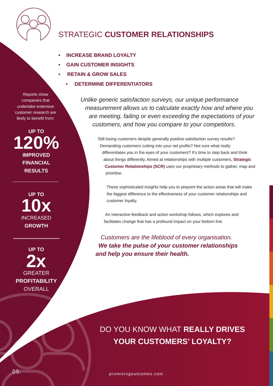

### STRATEGIC **CUSTOMER RELATIONSHIPS**

- **INCREASE BRAND LOYALTY**
- **GAIN CUSTOMER INSIGHTS**
- **RETAIN & GROW SALES**
	- **DETERMINE DIFFERENTIATORS**

Reports show companies that undertake extensive customer research are likely to benefit from:

**UP TO 120% IMPROVED FINANCIAL RESULTS**

> **UP TO 10x INCREASED GROWTH**

**UP TO 2x** GREATER **PROFITABILITY OVERALL** 

*Unlike generic satisfaction surveys, our unique performance measurement allows us to calculate exactly how and where you are meeting, failing or even exceeding the expectations of your customers, and how you compare to your competitors.*

Still losing customers despite generally positive satisfaction survey results? Demanding customers cutting into your net profits? Not sure what really differentiates you in the eyes of your customers? It's time to step back and think about things differently. Aimed at relationships with multiple customers, **Strategic Customer Relationships (SCR)** uses our proprietary methods to gather, map and prioritise.

These sophisticated insights help you to pinpoint the action areas that will make the biggest difference to the effectiveness of your customer relationships and customer loyalty.

An interactive feedback and action workshop follows, which explores and facilitates change that has a profound impact on your bottom line.

*Customers are the lifeblood of every organisation. We take the pulse of your customer relationships and help you ensure their health.* 

### DO YOU KNOW WHAT **REALLY DRIVES YOUR CUSTOMERS' LOYALTY?**

promisingoutcomes.com promisingoutcomes.com 05.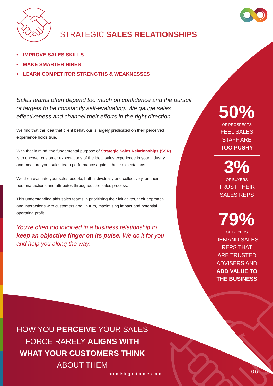

### STRATEGIC **SALES RELATIONSHIPS**

- **• IMPROVE SALES SKILLS**
- **• MAKE SMARTER HIRES**
- **• LEARN COMPETITOR STRENGTHS & WEAKNESSES**

*Sales teams often depend too much on confidence and the pursuit of targets to be constantly self-evaluating. We gauge sales effectiveness and channel their efforts in the right direction.*

We find that the idea that client behaviour is largely predicated on their perceived experience holds true.

With that in mind, the fundamental purpose of **Strategic Sales Relationships (SSR)** is to uncover customer expectations of the ideal sales experience in your industry and measure your sales team performance against those expectations.

We then evaluate your sales people, both individually and collectively, on their personal actions and attributes throughout the sales process.

This understanding aids sales teams in prioritising their initiatives, their approach and interactions with customers and, in turn, maximising impact and potential operating profit.

*You're often too involved in a business relationship to keep an objective finger on its pulse. We do it for you and help you along the way.*

**50%** OF PROSPECTS

FEEL SALES STAFF ARE **TOO PUSHY**

**3%** OF BUYERS TRUST THEIR SALES REPS

**79%** OF BUYERS DEMAND SALES REPS THAT ARE TRUSTED ADVISERS AND **ADD VALUE TO THE BUSINESS**

HOW YOU **PERCEIVE** YOUR SALES FORCE RARELY **ALIGNS WITH WHAT YOUR CUSTOMERS THINK**  ABOUT THEM

promisingoutcomes.com 06.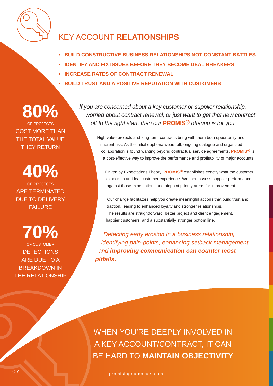

### KEY ACCOUNT **RELATIONSHIPS**

- **BUILD CONSTRUCTIVE BUSINESS RELATIONSHIPS NOT CONSTANT BATTLES**
- **IDENTIFY AND FIX ISSUES BEFORE THEY BECOME DEAL BREAKERS**
- **INCREASE RATES OF CONTRACT RENEWAL**
- **BUILD TRUST AND A POSITIVE REPUTATION WITH CUSTOMERS**

## **80%**

OF PROJECTS COST MORE THAN THE TOTAL VALUE THEY RETURN

**40%** OF PROJECTS ARE TERMINATED DUE TO DELIVERY FAILURE

**70%** OF CUSTOMER **DEFECTIONS** ARE DUE TO A BREAKDOWN IN THE RELATIONSHIP *If you are concerned about a key customer or supplier relationship, worried about contract renewal, or just want to get that new contract off to the right start, then our* **PROMIS®** *offering is for you.*

> High value projects and long-term contracts bring with them both opportunity and inherent risk. As the initial euphoria wears off, ongoing dialogue and organised collaboration is found wanting beyond contractual service agreements. **PROMIS®** is a cost-effective way to improve the performance and profitability of major accounts.

Driven by Expectations Theory, **PROMIS®** establishes exactly what the customer expects in an ideal customer experience. We then assess supplier performance against those expectations and pinpoint priority areas for improvement.

Our change facilitators help you create meaningful actions that build trust and traction, leading to enhanced loyalty and stronger relationships. The results are straightforward: better project and client engagement, happier customers, and a substantially stronger bottom line.

*Detecting early erosion in a business relationship, identifying pain-points, enhancing setback management, and improving communication can counter most pitfalls.*

WHEN YOU'RE DEEPLY INVOLVED IN A KEY ACCOUNT/CONTRACT, IT CAN BE HARD TO **MAINTAIN OBJECTIVITY**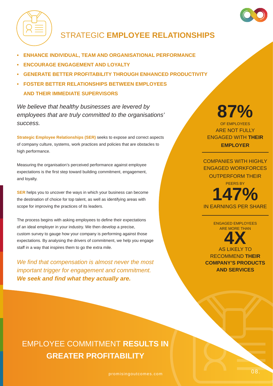

### **STRATEGIC EMPLOYEE RELATIONSHIPS**

- **• ENHANCE INDIVIDUAL, TEAM AND ORGANISATIONAL PERFORMANCE**
- **• ENCOURAGE ENGAGEMENT AND LOYALTY**
- **• GENERATE BETTER PROFITABILITY THROUGH ENHANCED PRODUCTIVITY**
- **• FOSTER BETTER RELATIONSHIPS BETWEEN EMPLOYEES AND THEIR IMMEDIATE SUPERVISORS**

*We believe that healthy businesses are levered by employees that are truly committed to the organisations' success.* 

**Strategic Employee Relationships (SER)** seeks to expose and correct aspects of company culture, systems, work practices and policies that are obstacles to high performance.

Measuring the organisation's perceived performance against employee expectations is the first step toward building commitment, engagement, and loyalty.

**SER** helps you to uncover the ways in which your business can become the destination of choice for top talent, as well as identifying areas with scope for improving the practices of its leaders.

The process begins with asking employees to define their expectations of an ideal employer in your industry. We then develop a precise, custom survey to gauge how your company is performing against those expectations. By analysing the drivers of commitment, we help you engage staff in a way that inspires them to go the extra mile.

*We find that compensation is almost never the most important trigger for engagement and commitment. We seek and find what they actually are.*

## **87%**

OF EMPLOYEES ARE NOT FULLY ENGAGED WITH **THEIR EMPLOYER**

COMPANIES WITH HIGHLY ENGAGED WORKFORCES OUTPERFORM THEIR PEERS BY **147%**

IN EARNINGS PER SHARE

ENGAGED EMPLOYEES ARE MORE THAN

**4X** AS LIKELY TO

RECOMMEND **THEIR COMPANY'S PRODUCTS AND SERVICES**

EMPLOYEE COMMITMENT **RESULTS IN GREATER PROFITABILITY**

promisingoutcomes.com and the community of the contract of the contract of the contract of the contract of the  $\sim$  08.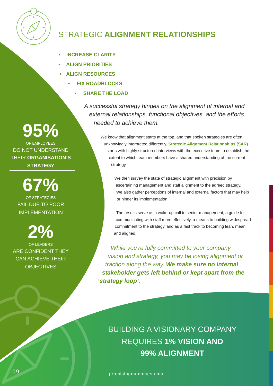

### STRATEGIC **ALIGNMENT RELATIONSHIPS**

- **INCREASE CLARITY**
- **ALIGN PRIORITIES**
- **ALIGN RESOURCES**
	- **FIX ROADBLOCKS**
		- **SHARE THE LOAD**

*A successful strategy hinges on the alignment of internal and external relationships, functional objectives, and the efforts needed to achieve them.*

> We know that alignment starts at the top, and that spoken strategies are often unknowingly interpreted differently. **Strategic Alignment Relationships (SAR)** starts with highly structured interviews with the executive team to establish the extent to which team members have a shared understanding of the current strategy.

We then survey the state of strategic alignment with precision by ascertaining management and staff alignment to the agreed strategy. We also gather perceptions of internal and external factors that may help or hinder its implementation.

The results serve as a wake-up call to senior management, a guide for communicating with staff more effectively, a means to building widespread commitment to the strategy, and as a fast track to becoming lean, mean and aligned.

*While you're fully committed to your company vision and strategy, you may be losing alignment or traction along the way. We make sure no internal stakeholder gets left behind or kept apart from the 'strategy loop'.* 

### BUILDING A VISIONARY COMPANY REQUIRES **1% VISION AND 99% ALIGNMENT**

promisingoutcomes.com promisingoutcomes.com 09.

**95 %**

OF EMPLOYEES DO NOT UNDERSTAND THEIR **ORGANISATION'S STRATEGY**

**67 %**

OF STRATEGIES FAIL DUE TO POOR IMPLEMENTATION

**2%** OF LEADERS ARE CONFIDENT THEY CAN ACHIEVE THEIR **OBJECTIVES**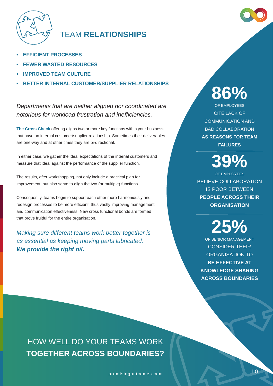

### **TEAM RELATIONSHIPS**

- **• EFFICIENT PROCESSES**
- **• FEWER WASTED RESOURCES**
- **• IMPROVED TEAM CULTURE**
- **• BETTER INTERNAL CUSTOMER/SUPPLIER RELATIONSHIPS**

*Departments that are neither aligned nor coordinated are notorious for workload frustration and inefficiencies.*

**The Cross Check** offering aligns two or more key functions within your business that have an internal customer/supplier relationship. Sometimes their deliverables are one-way and at other times they are bi-directional.

In either case, we gather the ideal expectations of the internal customers and measure that ideal against the performance of the supplier function.

The results, after workshopping, not only include a practical plan for improvement, but also serve to align the two (or multiple) functions.

Consequently, teams begin to support each other more harmoniously and redesign processes to be more efficient, thus vastly improving management and communication effectiveness. New cross functional bonds are formed that prove fruitful for the entire organisation.

*Making sure different teams work better together is as essential as keeping moving parts lubricated. We provide the right oil.*

**86%** OF EMPLOYEES CITE LACK OF COMMUNICATION AND BAD COLLABORATION **AS REASONS FOR TEAM FAILURES**

**39%**

OF EMPLOYEES BELIEVE COLLABORATION IS POOR BETWEEN **PEOPLE ACROSS THEIR ORGANISATION**

**25%**

OF SENIOR MANAGEMENT CONSIDER THEIR ORGANISATION TO **BE EFFECTIVE AT KNOWLEDGE SHARING ACROSS BOUNDARIES**

HOW WELL DO YOUR TEAMS WORK **TOGETHER ACROSS BOUNDARIES?**

promisingoutcomes.com and the community of the contract of the contract of the contract of the contract of the contract of the contract of the contract of the contract of the contract of the contract of the contract of the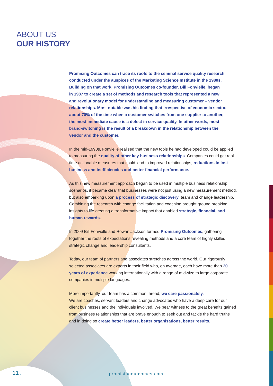### ABOUT US **OUR HISTORY**

**Promising Outcomes can trace its roots to the seminal service quality research conducted under the auspices of the Marketing Science Institute in the 1980s. Building on that work, Promising Outcomes co-founder, Bill Fonvielle, began in 1987 to create a set of methods and research tools that represented a new and revolutionary model for understanding and measuring customer – vendor relationships. Most notable was his finding that irrespective of economic sector, about 70% of the time when a customer switches from one supplier to another, the most immediate cause is a defect in service quality. In other words, most brand-switching is the result of a breakdown in the relationship between the vendor and the customer.**

In the mid-1990s, Fonvielle realised that the new tools he had developed could be applied to measuring the **quality of other key business relationships**. Companies could get real time actionable measures that could lead to improved relationships, **reductions in lost business and inefficiencies and better financial performance.** 

As this new measurement approach began to be used in multiple business relationship scenarios, it became clear that businesses were not just using a new measurement method, but also embarking upon **a process of strategic discovery**, team and change leadership. Combining the research with change facilitation and coaching brought ground breaking insights to life creating a transformative impact that enabled **strategic, financial, and human rewards.** 

In 2009 Bill Fonvielle and Rowan Jackson formed **Promising Outcomes**, gathering together the roots of expectations revealing methods and a core team of highly skilled strategic change and leadership consultants.

Today, our team of partners and associates stretches across the world. Our rigorously selected associates are experts in their field who, on average, each have more than **20 years of experience** working internationally with a range of mid-size to large corporate companies in multiple languages.

More importantly, our team has a common thread; **we care passionately.** We are coaches, servant leaders and change advocates who have a deep care for our client businesses and the individuals involved. We bear witness to the great benefits gained from business relationships that are brave enough to seek out and tackle the hard truths and in doing so **create better leaders, better organisations, better results.**

#### 11. promisingoutcomes.com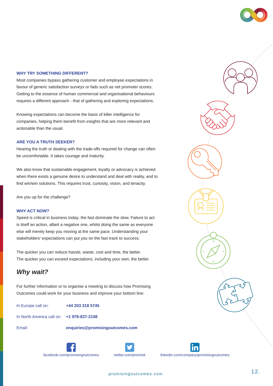#### **WHY TRY SOMETHING DIFFERENT?**

Most companies bypass gathering customer and employee expectations in favour of generic satisfaction surveys or fads such as net promoter scores. Getting to the essence of human commercial and organisational behaviours requires a different approach - that of gathering and exploring expectations.

Knowing expectations can become the basis of killer intelligence for companies, helping them benefit from insights that are more relevant and actionable than the usual.

#### **ARE YOU A TRUTH SEEKER?**

Hearing the truth or dealing with the trade-offs required for change can often be uncomfortable. It takes courage and maturity.

We also know that sustainable engagement, loyalty or advocacy is achieved when there exists a genuine desire to understand and deal with reality, and to find win/win solutions. This requires trust, curiosity, vision, and tenacity.

Are you up for the challenge?

#### **WHY ACT NOW?**

Speed is critical in business today; the fast dominate the slow. Failure to act is itself an action, albeit a negative one, whilst doing the same as everyone else will merely keep you moving at the same pace. Understanding your stakeholders' expectations can put you on the fast track to success.

The quicker you can reduce hassle, waste, cost and time, the better. The quicker you can exceed expectations, including your own, the better.

### *Why wait?*

For further information or to organise a meeting to discuss how Promising Outcomes could work for your business and improve your bottom line:

In Europe call on: **+44 203 318 5745**

In North America call on: **+1 978-837-2108**

Email: **enquiries@promisingoutcomes.com**







facebook.com/promisingoutcomes twitter.com/promisit linkedin.com/company/promisingoutcomes